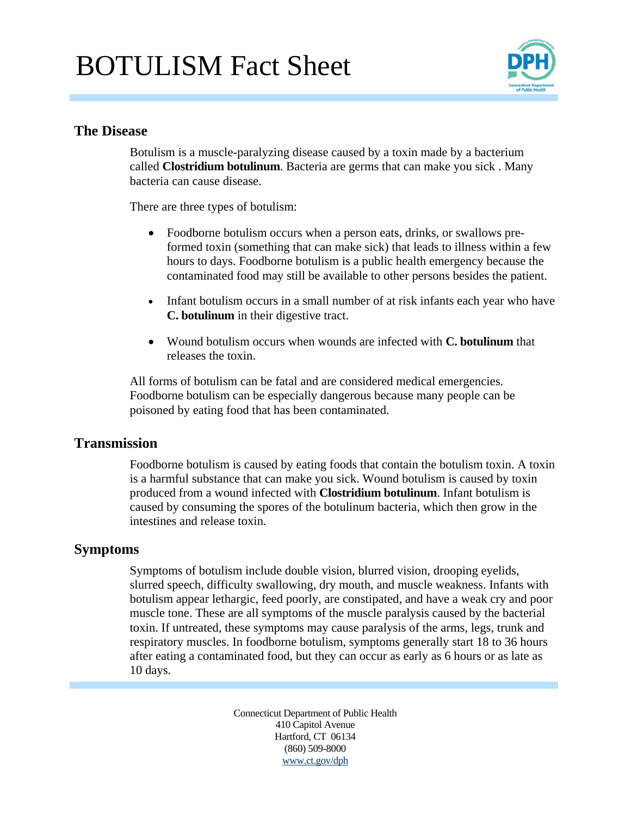# BOTULISM Fact Sheet



### **The Disease**

Botulism is a muscle-paralyzing disease caused by a toxin made by a bacterium called **Clostridium botulinum**. Bacteria are germs that can make you sick . Many bacteria can cause disease.

There are three types of botulism:

- Foodborne botulism occurs when a person eats, drinks, or swallows preformed toxin (something that can make sick) that leads to illness within a few hours to days. Foodborne botulism is a public health emergency because the contaminated food may still be available to other persons besides the patient.
- Infant botulism occurs in a small number of at risk infants each year who have **C. botulinum** in their digestive tract.
- Wound botulism occurs when wounds are infected with **C. botulinum** that releases the toxin.

All forms of botulism can be fatal and are considered medical emergencies. Foodborne botulism can be especially dangerous because many people can be poisoned by eating food that has been contaminated.

#### **Transmission**

Foodborne botulism is caused by eating foods that contain the botulism toxin. A toxin is a harmful substance that can make you sick. Wound botulism is caused by toxin produced from a wound infected with **Clostridium botulinum**. Infant botulism is caused by consuming the spores of the botulinum bacteria, which then grow in the intestines and release toxin.

#### **Symptoms**

Symptoms of botulism include double vision, blurred vision, drooping eyelids, slurred speech, difficulty swallowing, dry mouth, and muscle weakness. Infants with botulism appear lethargic, feed poorly, are constipated, and have a weak cry and poor muscle tone. These are all symptoms of the muscle paralysis caused by the bacterial toxin. If untreated, these symptoms may cause paralysis of the arms, legs, trunk and respiratory muscles. In foodborne botulism, symptoms generally start 18 to 36 hours after eating a contaminated food, but they can occur as early as 6 hours or as late as 10 days.

> Connecticut Department of Public Health 410 Capitol Avenue Hartford, CT 06134 (860) 509-8000 www.ct.gov/dph